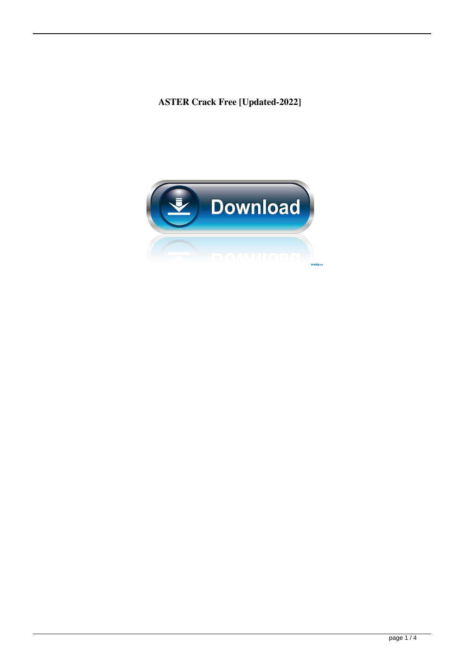**ASTER Crack Free [Updated-2022]**

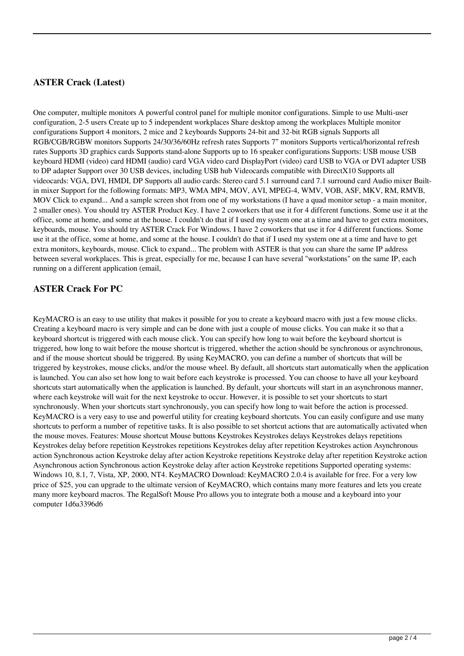# **ASTER Crack (Latest)**

One computer, multiple monitors A powerful control panel for multiple monitor configurations. Simple to use Multi-user configuration, 2-5 users Create up to 5 independent workplaces Share desktop among the workplaces Multiple monitor configurations Support 4 monitors, 2 mice and 2 keyboards Supports 24-bit and 32-bit RGB signals Supports all RGB/CGB/RGBW monitors Supports 24/30/36/60Hz refresh rates Supports 7" monitors Supports vertical/horizontal refresh rates Supports 3D graphics cards Supports stand-alone Supports up to 16 speaker configurations Supports: USB mouse USB keyboard HDMI (video) card HDMI (audio) card VGA video card DisplayPort (video) card USB to VGA or DVI adapter USB to DP adapter Support over 30 USB devices, including USB hub Videocards compatible with DirectX10 Supports all videocards: VGA, DVI, HMDI, DP Supports all audio cards: Stereo card 5.1 surround card 7.1 surround card Audio mixer Builtin mixer Support for the following formats: MP3, WMA MP4, MOV, AVI, MPEG-4, WMV, VOB, ASF, MKV, RM, RMVB, MOV Click to expand... And a sample screen shot from one of my workstations (I have a quad monitor setup - a main monitor, 2 smaller ones). You should try ASTER Product Key. I have 2 coworkers that use it for 4 different functions. Some use it at the office, some at home, and some at the house. I couldn't do that if I used my system one at a time and have to get extra monitors, keyboards, mouse. You should try ASTER Crack For Windows. I have 2 coworkers that use it for 4 different functions. Some use it at the office, some at home, and some at the house. I couldn't do that if I used my system one at a time and have to get extra monitors, keyboards, mouse. Click to expand... The problem with ASTER is that you can share the same IP address between several workplaces. This is great, especially for me, because I can have several "workstations" on the same IP, each running on a different application (email,

#### **ASTER Crack For PC**

KeyMACRO is an easy to use utility that makes it possible for you to create a keyboard macro with just a few mouse clicks. Creating a keyboard macro is very simple and can be done with just a couple of mouse clicks. You can make it so that a keyboard shortcut is triggered with each mouse click. You can specify how long to wait before the keyboard shortcut is triggered, how long to wait before the mouse shortcut is triggered, whether the action should be synchronous or asynchronous, and if the mouse shortcut should be triggered. By using KeyMACRO, you can define a number of shortcuts that will be triggered by keystrokes, mouse clicks, and/or the mouse wheel. By default, all shortcuts start automatically when the application is launched. You can also set how long to wait before each keystroke is processed. You can choose to have all your keyboard shortcuts start automatically when the application is launched. By default, your shortcuts will start in an asynchronous manner, where each keystroke will wait for the next keystroke to occur. However, it is possible to set your shortcuts to start synchronously. When your shortcuts start synchronously, you can specify how long to wait before the action is processed. KeyMACRO is a very easy to use and powerful utility for creating keyboard shortcuts. You can easily configure and use many shortcuts to perform a number of repetitive tasks. It is also possible to set shortcut actions that are automatically activated when the mouse moves. Features: Mouse shortcut Mouse buttons Keystrokes Keystrokes delays Keystrokes delays repetitions Keystrokes delay before repetition Keystrokes repetitions Keystrokes delay after repetition Keystrokes action Asynchronous action Synchronous action Keystroke delay after action Keystroke repetitions Keystroke delay after repetition Keystroke action Asynchronous action Synchronous action Keystroke delay after action Keystroke repetitions Supported operating systems: Windows 10, 8.1, 7, Vista, XP, 2000, NT4. KeyMACRO Download: KeyMACRO 2.0.4 is available for free. For a very low price of \$25, you can upgrade to the ultimate version of KeyMACRO, which contains many more features and lets you create many more keyboard macros. The RegalSoft Mouse Pro allows you to integrate both a mouse and a keyboard into your computer 1d6a3396d6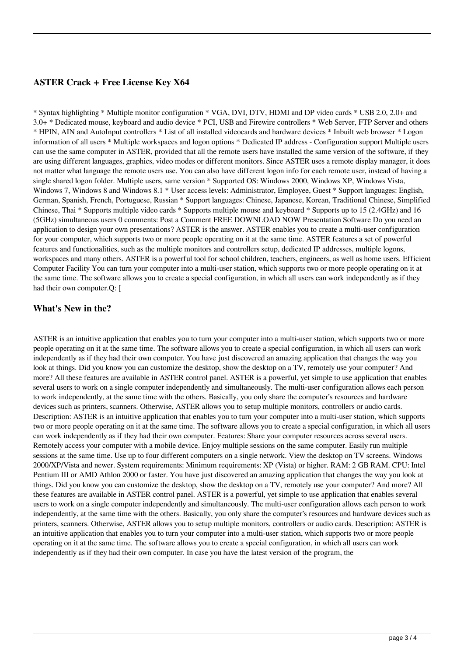## **ASTER Crack + Free License Key X64**

\* Syntax highlighting \* Multiple monitor configuration \* VGA, DVI, DTV, HDMI and DP video cards \* USB 2.0, 2.0+ and 3.0+ \* Dedicated mouse, keyboard and audio device \* PCI, USB and Firewire controllers \* Web Server, FTP Server and others \* HPIN, AIN and AutoInput controllers \* List of all installed videocards and hardware devices \* Inbuilt web browser \* Logon information of all users \* Multiple workspaces and logon options \* Dedicated IP address - Configuration support Multiple users can use the same computer in ASTER, provided that all the remote users have installed the same version of the software, if they are using different languages, graphics, video modes or different monitors. Since ASTER uses a remote display manager, it does not matter what language the remote users use. You can also have different logon info for each remote user, instead of having a single shared logon folder. Multiple users, same version \* Supported OS: Windows 2000, Windows XP, Windows Vista, Windows 7, Windows 8 and Windows 8.1 \* User access levels: Administrator, Employee, Guest \* Support languages: English, German, Spanish, French, Portuguese, Russian \* Support languages: Chinese, Japanese, Korean, Traditional Chinese, Simplified Chinese, Thai \* Supports multiple video cards \* Supports multiple mouse and keyboard \* Supports up to 15 (2.4GHz) and 16 (5GHz) simultaneous users 0 comments: Post a Comment FREE DOWNLOAD NOW Presentation Software Do you need an application to design your own presentations? ASTER is the answer. ASTER enables you to create a multi-user configuration for your computer, which supports two or more people operating on it at the same time. ASTER features a set of powerful features and functionalities, such as the multiple monitors and controllers setup, dedicated IP addresses, multiple logons, workspaces and many others. ASTER is a powerful tool for school children, teachers, engineers, as well as home users. Efficient Computer Facility You can turn your computer into a multi-user station, which supports two or more people operating on it at the same time. The software allows you to create a special configuration, in which all users can work independently as if they had their own computer.Q: [

#### **What's New in the?**

ASTER is an intuitive application that enables you to turn your computer into a multi-user station, which supports two or more people operating on it at the same time. The software allows you to create a special configuration, in which all users can work independently as if they had their own computer. You have just discovered an amazing application that changes the way you look at things. Did you know you can customize the desktop, show the desktop on a TV, remotely use your computer? And more? All these features are available in ASTER control panel. ASTER is a powerful, yet simple to use application that enables several users to work on a single computer independently and simultaneously. The multi-user configuration allows each person to work independently, at the same time with the others. Basically, you only share the computer's resources and hardware devices such as printers, scanners. Otherwise, ASTER allows you to setup multiple monitors, controllers or audio cards. Description: ASTER is an intuitive application that enables you to turn your computer into a multi-user station, which supports two or more people operating on it at the same time. The software allows you to create a special configuration, in which all users can work independently as if they had their own computer. Features: Share your computer resources across several users. Remotely access your computer with a mobile device. Enjoy multiple sessions on the same computer. Easily run multiple sessions at the same time. Use up to four different computers on a single network. View the desktop on TV screens. Windows 2000/XP/Vista and newer. System requirements: Minimum requirements: XP (Vista) or higher. RAM: 2 GB RAM. CPU: Intel Pentium III or AMD Athlon 2000 or faster. You have just discovered an amazing application that changes the way you look at things. Did you know you can customize the desktop, show the desktop on a TV, remotely use your computer? And more? All these features are available in ASTER control panel. ASTER is a powerful, yet simple to use application that enables several users to work on a single computer independently and simultaneously. The multi-user configuration allows each person to work independently, at the same time with the others. Basically, you only share the computer's resources and hardware devices such as printers, scanners. Otherwise, ASTER allows you to setup multiple monitors, controllers or audio cards. Description: ASTER is an intuitive application that enables you to turn your computer into a multi-user station, which supports two or more people operating on it at the same time. The software allows you to create a special configuration, in which all users can work independently as if they had their own computer. In case you have the latest version of the program, the